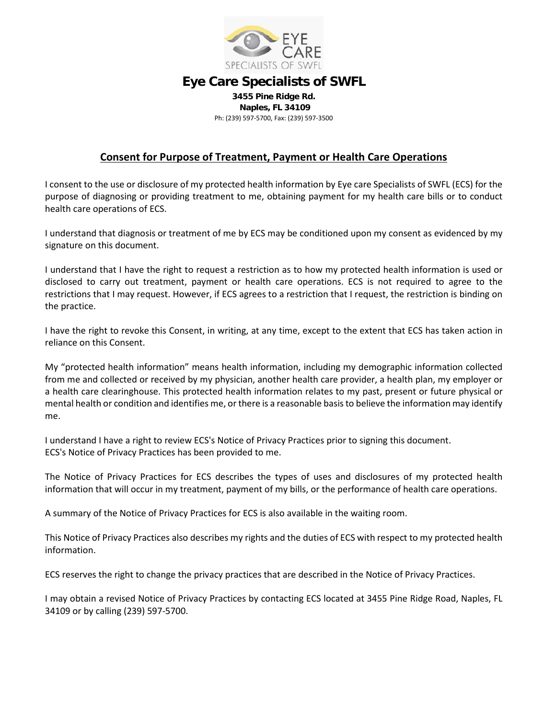

## **Eye Care Specialists of SWFL**

**3455 Pine Ridge Rd. Naples, FL 34109** Ph: (239) 597-5700, Fax: (239) 597-3500

### **Consent for Purpose of Treatment, Payment or Health Care Operations**

I consent to the use or disclosure of my protected health information by Eye care Specialists of SWFL (ECS) for the purpose of diagnosing or providing treatment to me, obtaining payment for my health care bills or to conduct health care operations of ECS.

I understand that diagnosis or treatment of me by ECS may be conditioned upon my consent as evidenced by my signature on this document.

I understand that I have the right to request a restriction as to how my protected health information is used or disclosed to carry out treatment, payment or health care operations. ECS is not required to agree to the restrictions that I may request. However, if ECS agrees to a restriction that I request, the restriction is binding on the practice.

I have the right to revoke this Consent, in writing, at any time, except to the extent that ECS has taken action in reliance on this Consent.

My "protected health information" means health information, including my demographic information collected from me and collected or received by my physician, another health care provider, a health plan, my employer or a health care clearinghouse. This protected health information relates to my past, present or future physical or mental health or condition and identifies me, or there is a reasonable basis to believe the information may identify me.

I understand I have a right to review ECS's Notice of Privacy Practices prior to signing this document. ECS's Notice of Privacy Practices has been provided to me.

The Notice of Privacy Practices for ECS describes the types of uses and disclosures of my protected health information that will occur in my treatment, payment of my bills, or the performance of health care operations.

A summary of the Notice of Privacy Practices for ECS is also available in the waiting room.

This Notice of Privacy Practices also describes my rights and the duties of ECS with respect to my protected health information.

ECS reserves the right to change the privacy practices that are described in the Notice of Privacy Practices.

I may obtain a revised Notice of Privacy Practices by contacting ECS located at 3455 Pine Ridge Road, Naples, FL 34109 or by calling (239) 597-5700.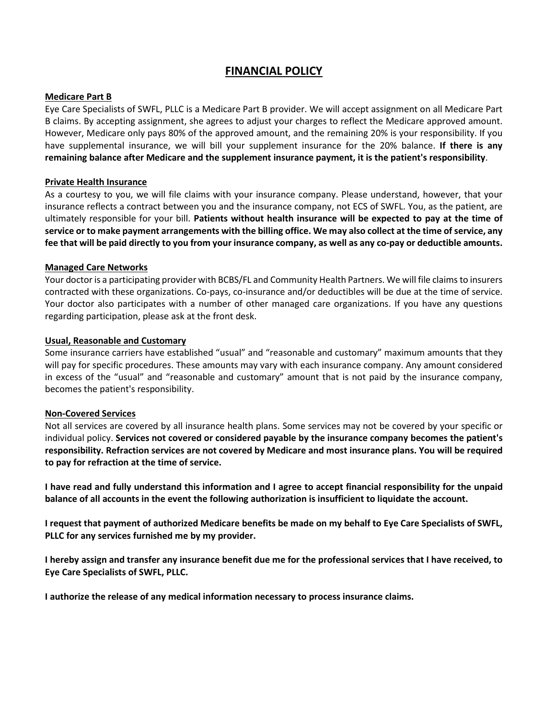## **FINANCIAL POLICY**

#### **Medicare Part B**

Eye Care Specialists of SWFL, PLLC is a Medicare Part B provider. We will accept assignment on all Medicare Part B claims. By accepting assignment, she agrees to adjust your charges to reflect the Medicare approved amount. However, Medicare only pays 80% of the approved amount, and the remaining 20% is your responsibility. If you have supplemental insurance, we will bill your supplement insurance for the 20% balance. **If there is any remaining balance after Medicare and the supplement insurance payment, it is the patient's responsibility**.

#### **Private Health Insurance**

As a courtesy to you, we will file claims with your insurance company. Please understand, however, that your insurance reflects a contract between you and the insurance company, not ECS of SWFL. You, as the patient, are ultimately responsible for your bill. **Patients without health insurance will be expected to pay at the time of service or to make payment arrangements with the billing office. We may also collect at the time of service, any fee that will be paid directly to you from your insurance company, as well as any co-pay or deductible amounts.**

#### **Managed Care Networks**

Your doctor is a participating provider with BCBS/FL and Community Health Partners. We will file claims to insurers contracted with these organizations. Co-pays, co-insurance and/or deductibles will be due at the time of service. Your doctor also participates with a number of other managed care organizations. If you have any questions regarding participation, please ask at the front desk.

#### **Usual, Reasonable and Customary**

Some insurance carriers have established "usual" and "reasonable and customary" maximum amounts that they will pay for specific procedures. These amounts may vary with each insurance company. Any amount considered in excess of the "usual" and "reasonable and customary" amount that is not paid by the insurance company, becomes the patient's responsibility.

#### **Non-Covered Services**

Not all services are covered by all insurance health plans. Some services may not be covered by your specific or individual policy. **Services not covered or considered payable by the insurance company becomes the patient's responsibility. Refraction services are not covered by Medicare and most insurance plans. You will be required to pay for refraction at the time of service.** 

**I have read and fully understand this information and I agree to accept financial responsibility for the unpaid balance of all accounts in the event the following authorization is insufficient to liquidate the account.**

**I request that payment of authorized Medicare benefits be made on my behalf to Eye Care Specialists of SWFL, PLLC for any services furnished me by my provider.**

**I hereby assign and transfer any insurance benefit due me for the professional services that I have received, to Eye Care Specialists of SWFL, PLLC.** 

**I authorize the release of any medical information necessary to process insurance claims.**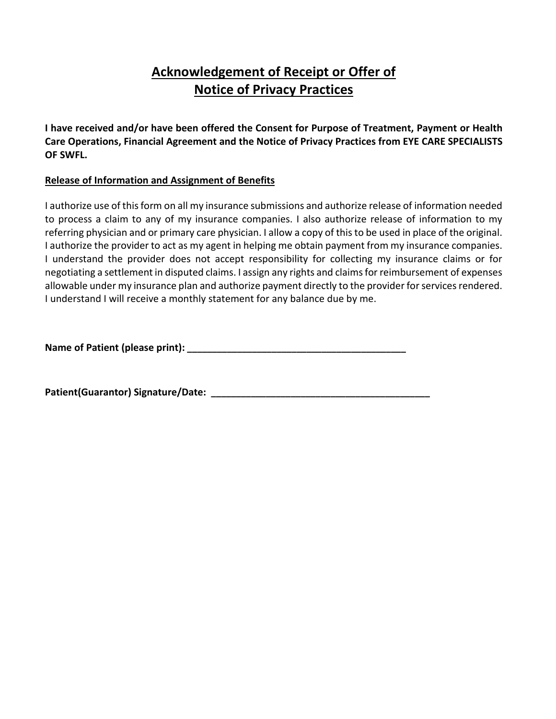# **Acknowledgement of Receipt or Offer of Notice of Privacy Practices**

**I have received and/or have been offered the Consent for Purpose of Treatment, Payment or Health Care Operations, Financial Agreement and the Notice of Privacy Practices from EYE CARE SPECIALISTS OF SWFL.**

### **Release of Information and Assignment of Benefits**

I authorize use of this form on all my insurance submissions and authorize release of information needed to process a claim to any of my insurance companies. I also authorize release of information to my referring physician and or primary care physician. I allow a copy of this to be used in place of the original. I authorize the provider to act as my agent in helping me obtain payment from my insurance companies. I understand the provider does not accept responsibility for collecting my insurance claims or for negotiating a settlement in disputed claims. I assign any rights and claims for reimbursement of expenses allowable under my insurance plan and authorize payment directly to the provider for services rendered. I understand I will receive a monthly statement for any balance due by me.

**Name of Patient (please print): \_\_\_\_\_\_\_\_\_\_\_\_\_\_\_\_\_\_\_\_\_\_\_\_\_\_\_\_\_\_\_\_\_\_\_\_\_\_\_\_\_\_\_\_**

**Patient(Guarantor) Signature/Date: \_\_\_\_\_\_\_\_\_\_\_\_\_\_\_\_\_\_\_\_\_\_\_\_\_\_\_\_\_\_\_\_\_\_\_\_\_\_\_\_\_\_\_\_**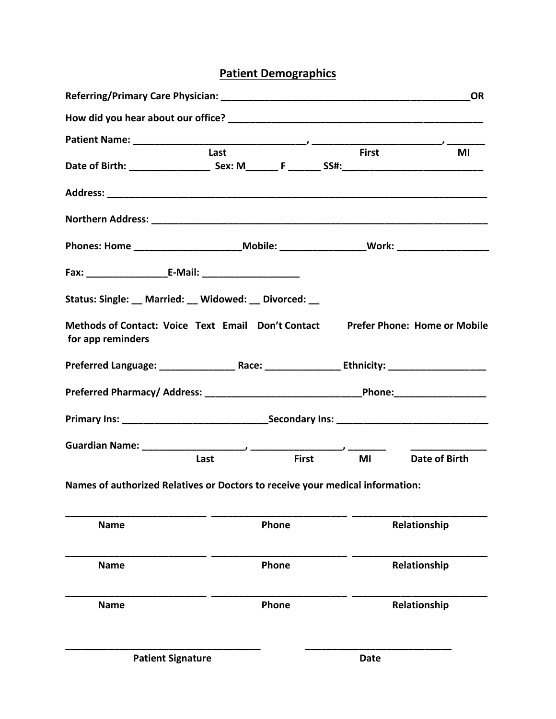## **Patient Demographics**

|                                                                                                      | Last  |              | <b>First</b> | MI                   |
|------------------------------------------------------------------------------------------------------|-------|--------------|--------------|----------------------|
|                                                                                                      |       |              |              |                      |
|                                                                                                      |       |              |              |                      |
| Phones: Home _________________________Mobile: _____________________Work: __________________________  |       |              |              |                      |
|                                                                                                      |       |              |              |                      |
| Status: Single: __ Married: __ Widowed: __ Divorced: __                                              |       |              |              |                      |
| Methods of Contact: Voice Text Email Don't Contact Prefer Phone: Home or Mobile<br>for app reminders |       |              |              |                      |
|                                                                                                      |       |              |              |                      |
|                                                                                                      |       |              |              |                      |
|                                                                                                      |       |              |              |                      |
|                                                                                                      |       |              |              |                      |
| Last                                                                                                 |       | <b>First</b> |              | <b>Date of Birth</b> |
| Names of authorized Relatives or Doctors to receive your medical information:                        |       |              |              |                      |
| <b>Name</b>                                                                                          | Phone |              |              | Relationship         |
| <b>Name</b>                                                                                          | Phone |              |              | Relationship         |
| <b>Name</b>                                                                                          | Phone |              |              | Relationship         |
| <b>Patient Signature</b>                                                                             |       |              | <b>Date</b>  |                      |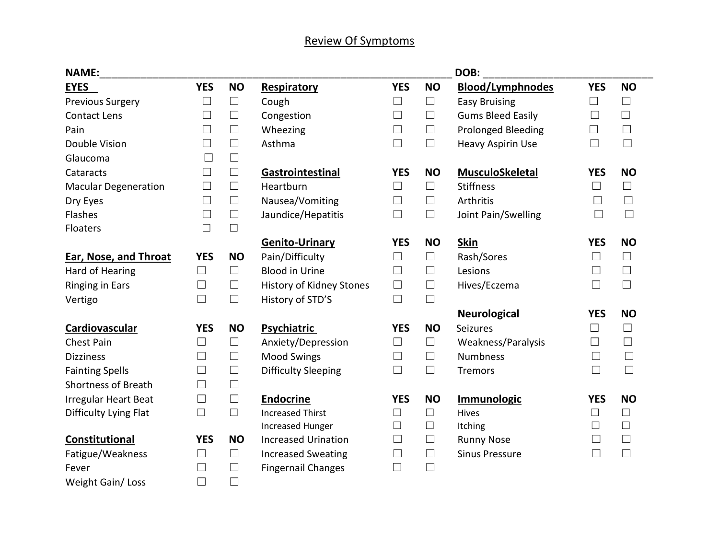## Review Of Symptoms

| <b>NAME:</b>                 |            |           |                                                               |                             |           | DOB:                      |            |           |
|------------------------------|------------|-----------|---------------------------------------------------------------|-----------------------------|-----------|---------------------------|------------|-----------|
| <b>EYES</b>                  | <b>YES</b> | <b>NO</b> | Respiratory                                                   | <b>YES</b>                  | <b>NO</b> | <b>Blood/Lymphnodes</b>   | <b>YES</b> | <b>NO</b> |
| <b>Previous Surgery</b>      | $\Box$     | $\Box$    | Cough                                                         | $\Box$                      | $\Box$    | <b>Easy Bruising</b>      | $\Box$     | $\Box$    |
| <b>Contact Lens</b>          | $\Box$     | $\Box$    | Congestion                                                    | $\Box$                      | $\Box$    | <b>Gums Bleed Easily</b>  | $\Box$     | $\Box$    |
| Pain                         | $\Box$     | $\Box$    | Wheezing                                                      | $\Box$                      | $\Box$    | <b>Prolonged Bleeding</b> | $\Box$     | $\Box$    |
| Double Vision                | $\Box$     | $\Box$    | Asthma                                                        | $\Box$                      | $\Box$    | <b>Heavy Aspirin Use</b>  | $\Box$     | $\Box$    |
| Glaucoma                     | $\Box$     | $\Box$    |                                                               |                             |           |                           |            |           |
| Cataracts                    | $\Box$     | $\Box$    | Gastrointestinal                                              | <b>YES</b>                  | <b>NO</b> | <b>MusculoSkeletal</b>    | <b>YES</b> | <b>NO</b> |
| <b>Macular Degeneration</b>  | $\Box$     | $\Box$    | Heartburn                                                     | $\Box$                      | $\Box$    | <b>Stiffness</b>          | $\Box$     | $\Box$    |
| Dry Eyes                     | $\Box$     | $\Box$    | Nausea/Vomiting                                               | $\Box$                      | $\Box$    | Arthritis                 | $\Box$     | $\Box$    |
| Flashes                      | $\Box$     | $\Box$    | $\Box$<br>Jaundice/Hepatitis<br>$\Box$<br>Joint Pain/Swelling |                             | $\Box$    | $\Box$                    |            |           |
| Floaters                     | $\Box$     | $\Box$    |                                                               |                             |           |                           |            |           |
|                              |            |           | <b>Genito-Urinary</b>                                         | <b>YES</b>                  | <b>NO</b> | <b>Skin</b>               | <b>YES</b> | <b>NO</b> |
| <b>Ear, Nose, and Throat</b> | <b>YES</b> | <b>NO</b> | Pain/Difficulty                                               | $\Box$                      | $\Box$    | Rash/Sores                | $\Box$     | $\Box$    |
| Hard of Hearing              | $\Box$     | $\Box$    | <b>Blood in Urine</b>                                         | $\Box$                      | $\Box$    | Lesions                   |            | $\Box$    |
| <b>Ringing in Ears</b>       | $\Box$     | $\Box$    | History of Kidney Stones                                      | $\Box$                      | $\Box$    | Hives/Eczema              | $\Box$     | $\Box$    |
| Vertigo                      | $\Box$     | $\Box$    | History of STD'S                                              | $\Box$                      | $\Box$    |                           |            |           |
|                              |            |           |                                                               |                             |           | <b>Neurological</b>       | <b>YES</b> | <b>NO</b> |
| Cardiovascular               | <b>YES</b> | <b>NO</b> | Psychiatric                                                   | <b>YES</b>                  | <b>NO</b> | <b>Seizures</b>           | ⊔          | $\Box$    |
| Chest Pain                   | $\Box$     | $\Box$    | Anxiety/Depression                                            | ப                           | $\Box$    | Weakness/Paralysis        | $\Box$     | $\Box$    |
| <b>Dizziness</b>             | $\Box$     | $\Box$    | <b>Mood Swings</b>                                            | $\Box$                      | $\Box$    | <b>Numbness</b>           | ⊔          | $\Box$    |
| <b>Fainting Spells</b>       | $\Box$     | $\Box$    | <b>Difficulty Sleeping</b>                                    | $\Box$<br>$\Box$<br>Tremors |           | $\Box$                    | $\Box$     |           |
| <b>Shortness of Breath</b>   | $\Box$     | $\Box$    |                                                               |                             |           |                           |            |           |
| <b>Irregular Heart Beat</b>  | $\Box$     | $\Box$    | Endocrine                                                     | <b>YES</b>                  | <b>NO</b> | <b>Immunologic</b>        | <b>YES</b> | <b>NO</b> |
| Difficulty Lying Flat        | $\Box$     | $\Box$    | <b>Increased Thirst</b>                                       | $\Box$                      | $\Box$    | Hives                     | $\Box$     | $\Box$    |
|                              |            |           | <b>Increased Hunger</b>                                       | $\Box$                      | $\Box$    | Itching                   | $\Box$     | $\Box$    |
| Constitutional               | <b>YES</b> | <b>NO</b> | <b>Increased Urination</b>                                    | $\Box$                      | $\Box$    | <b>Runny Nose</b>         |            | $\Box$    |
| Fatigue/Weakness             | $\Box$     | $\Box$    | <b>Increased Sweating</b>                                     | $\Box$                      | $\Box$    | <b>Sinus Pressure</b>     |            | $\Box$    |
| Fever                        | $\Box$     | $\Box$    | <b>Fingernail Changes</b>                                     | $\Box$                      | $\Box$    |                           |            |           |
| Weight Gain/Loss             | $\Box$     | $\Box$    |                                                               |                             |           |                           |            |           |